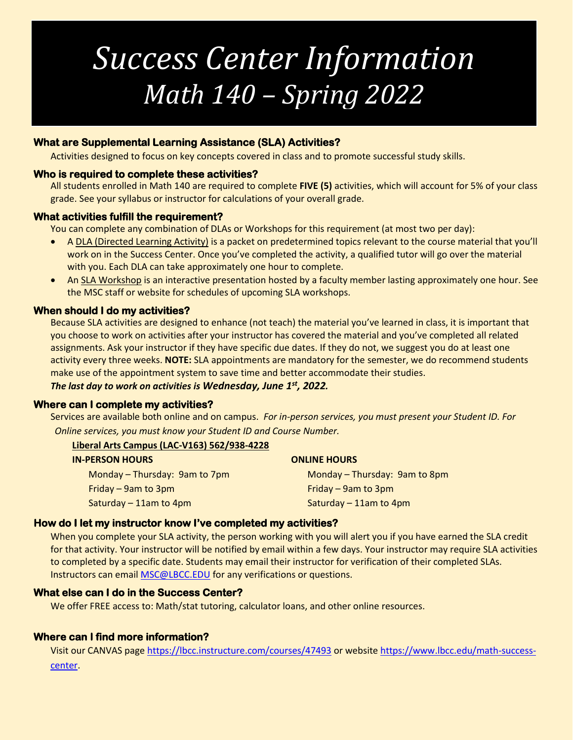## *Success Center Information Math 140 – Spring 2022*

## **What are Supplemental Learning Assistance (SLA) Activities?**

Activities designed to focus on key concepts covered in class and to promote successful study skills.

### **Who is required to complete these activities?**

All students enrolled in Math 140 are required to complete **FIVE (5)** activities, which will account for 5% of your class grade. See your syllabus or instructor for calculations of your overall grade.

### **What activities fulfill the requirement?**

You can complete any combination of DLAs or Workshops for this requirement (at most two per day):

- A DLA (Directed Learning Activity) is a packet on predetermined topics relevant to the course material that you'll work on in the Success Center. Once you've completed the activity, a qualified tutor will go over the material with you. Each DLA can take approximately one hour to complete.
- An SLA Workshop is an interactive presentation hosted by a faculty member lasting approximately one hour. See the MSC staff or website for schedules of upcoming SLA workshops.

### **When should I do my activities?**

Because SLA activities are designed to enhance (not teach) the material you've learned in class, it is important that you choose to work on activities after your instructor has covered the material and you've completed all related assignments. Ask your instructor if they have specific due dates. If they do not, we suggest you do at least one activity every three weeks. **NOTE:** SLA appointments are mandatory for the semester, we do recommend students make use of the appointment system to save time and better accommodate their studies.

*The last day to work on activities is Wednesday, June 1st, 2022.*

#### **Where can I complete my activities?**

Services are available both online and on campus. *For in-person services, you must present your Student ID. For Online services, you must know your Student ID and Course Number.*

#### **Liberal Arts Campus (LAC-V163) 562/938-4228**

| <b>IN-PERSON HOURS</b>        | <b>ONLINE HOURS</b>           |
|-------------------------------|-------------------------------|
| Monday - Thursday: 9am to 7pm | Monday - Thursday: 9am to 8pm |
| Friday $-$ 9am to 3pm         | Friday $-$ 9am to 3pm         |
| Saturday $-11$ am to 4pm      | Saturday - 11am to 4pm        |
|                               |                               |

## **How do I let my instructor know I've completed my activities?**

When you complete your SLA activity, the person working with you will alert you if you have earned the SLA credit for that activity. Your instructor will be notified by email within a few days. Your instructor may require SLA activities to completed by a specific date. Students may email their instructor for verification of their completed SLAs. Instructors can email [MSC@LBCC.EDU](mailto:MSC@LBCC.EDU) for any verifications or questions.

## **What else can I do in the Success Center?**

We offer FREE access to: Math/stat tutoring, calculator loans, and other online resources.

## **Where can I find more information?**

Visit our CANVAS page<https://lbcc.instructure.com/courses/47493> or websit[e https://www.lbcc.edu/math-success](https://www.lbcc.edu/math-success-center)[center.](https://www.lbcc.edu/math-success-center)